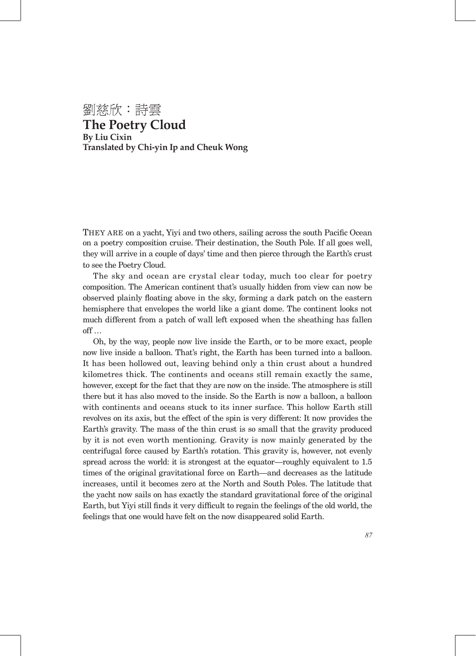# 劉慈欣:詩雲 **The Poetry Cloud By Liu Cixin Translated by Chi-yin Ip and Cheuk Wong**

THEY ARE on a yacht, Yiyi and two others, sailing across the south Pacific Ocean on a poetry composition cruise. Their destination, the South Pole. If all goes well, they will arrive in a couple of days' time and then pierce through the Earth's crust to see the Poetry Cloud.

The sky and ocean are crystal clear today, much too clear for poetry composition. The American continent that's usually hidden from view can now be observed plainly floating above in the sky, forming a dark patch on the eastern hemisphere that envelopes the world like a giant dome. The continent looks not much different from a patch of wall left exposed when the sheathing has fallen off …

Oh, by the way, people now live inside the Earth, or to be more exact, people now live inside a balloon. That's right, the Earth has been turned into a balloon. It has been hollowed out, leaving behind only a thin crust about a hundred kilometres thick. The continents and oceans still remain exactly the same, however, except for the fact that they are now on the inside. The atmosphere is still there but it has also moved to the inside. So the Earth is now a balloon, a balloon with continents and oceans stuck to its inner surface. This hollow Earth still revolves on its axis, but the effect of the spin is very different: It now provides the Earth's gravity. The mass of the thin crust is so small that the gravity produced by it is not even worth mentioning. Gravity is now mainly generated by the centrifugal force caused by Earth's rotation. This gravity is, however, not evenly spread across the world: it is strongest at the equator—roughly equivalent to 1.5 times of the original gravitational force on Earth—and decreases as the latitude increases, until it becomes zero at the North and South Poles. The latitude that the yacht now sails on has exactly the standard gravitational force of the original Earth, but Yiyi still finds it very difficult to regain the feelings of the old world, the feelings that one would have felt on the now disappeared solid Earth.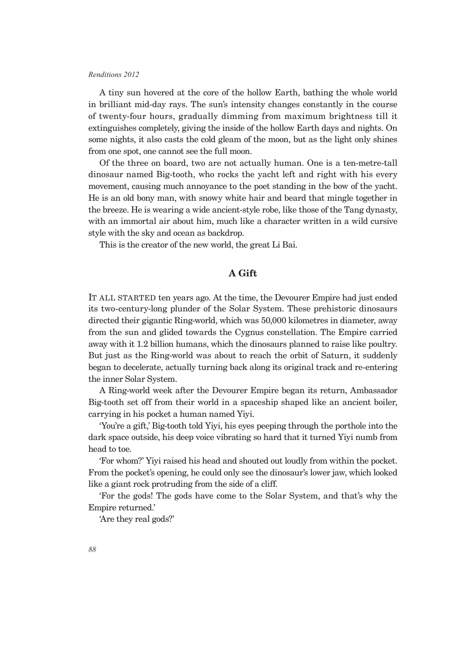A tiny sun hovered at the core of the hollow Earth, bathing the whole world in brilliant mid-day rays. The sun's intensity changes constantly in the course of twenty-four hours, gradually dimming from maximum brightness till it extinguishes completely, giving the inside of the hollow Earth days and nights. On some nights, it also casts the cold gleam of the moon, but as the light only shines from one spot, one cannot see the full moon.

Of the three on board, two are not actually human. One is a ten-metre-tall dinosaur named Big-tooth, who rocks the yacht left and right with his every movement, causing much annoyance to the poet standing in the bow of the yacht. He is an old bony man, with snowy white hair and beard that mingle together in the breeze. He is wearing a wide ancient-style robe, like those of the Tang dynasty, with an immortal air about him, much like a character written in a wild cursive style with the sky and ocean as backdrop.

This is the creator of the new world, the great Li Bai.

## **A Gift**

IT ALL STARTED ten years ago. At the time, the Devourer Empire had just ended its two-century-long plunder of the Solar System. These prehistoric dinosaurs directed their gigantic Ring-world, which was 50,000 kilometres in diameter, away from the sun and glided towards the Cygnus constellation. The Empire carried away with it 1.2 billion humans, which the dinosaurs planned to raise like poultry. But just as the Ring-world was about to reach the orbit of Saturn, it suddenly began to decelerate, actually turning back along its original track and re-entering the inner Solar System.

A Ring-world week after the Devourer Empire began its return, Ambassador Big-tooth set off from their world in a spaceship shaped like an ancient boiler, carrying in his pocket a human named Yiyi.

'You're a gift,' Big-tooth told Yiyi, his eyes peeping through the porthole into the dark space outside, his deep voice vibrating so hard that it turned Yiyi numb from head to toe.

'For whom?' Yiyi raised his head and shouted out loudly from within the pocket. From the pocket's opening, he could only see the dinosaur's lower jaw, which looked like a giant rock protruding from the side of a cliff.

'For the gods! The gods have come to the Solar System, and that's why the Empire returned.'

'Are they real gods?'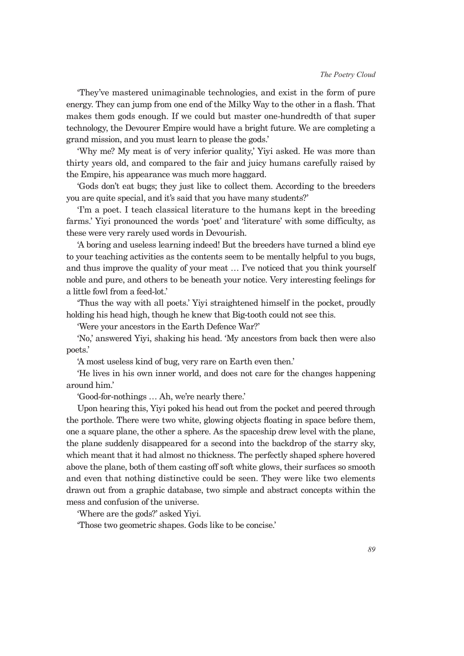'They've mastered unimaginable technologies, and exist in the form of pure energy. They can jump from one end of the Milky Way to the other in a flash. That makes them gods enough. If we could but master one-hundredth of that super technology, the Devourer Empire would have a bright future. We are completing a grand mission, and you must learn to please the gods.'

'Why me? My meat is of very inferior quality,' Yiyi asked. He was more than thirty years old, and compared to the fair and juicy humans carefully raised by the Empire, his appearance was much more haggard.

'Gods don't eat bugs; they just like to collect them. According to the breeders you are quite special, and it's said that you have many students?'

'I'm a poet. I teach classical literature to the humans kept in the breeding farms.' Yiyi pronounced the words 'poet' and 'literature' with some difficulty, as these were very rarely used words in Devourish.

'A boring and useless learning indeed! But the breeders have turned a blind eye to your teaching activities as the contents seem to be mentally helpful to you bugs, and thus improve the quality of your meat … I've noticed that you think yourself noble and pure, and others to be beneath your notice. Very interesting feelings for a little fowl from a feed-lot.'

'Thus the way with all poets.' Yiyi straightened himself in the pocket, proudly holding his head high, though he knew that Big-tooth could not see this.

'Were your ancestors in the Earth Defence War?'

'No,' answered Yiyi, shaking his head. 'My ancestors from back then were also poets.'

'A most useless kind of bug, very rare on Earth even then.'

'He lives in his own inner world, and does not care for the changes happening around him.'

'Good-for-nothings … Ah, we're nearly there.'

Upon hearing this, Yiyi poked his head out from the pocket and peered through the porthole. There were two white, glowing objects floating in space before them, one a square plane, the other a sphere. As the spaceship drew level with the plane, the plane suddenly disappeared for a second into the backdrop of the starry sky, which meant that it had almost no thickness. The perfectly shaped sphere hovered above the plane, both of them casting off soft white glows, their surfaces so smooth and even that nothing distinctive could be seen. They were like two elements drawn out from a graphic database, two simple and abstract concepts within the mess and confusion of the universe.

'Where are the gods?' asked Yiyi.

'Those two geometric shapes. Gods like to be concise.'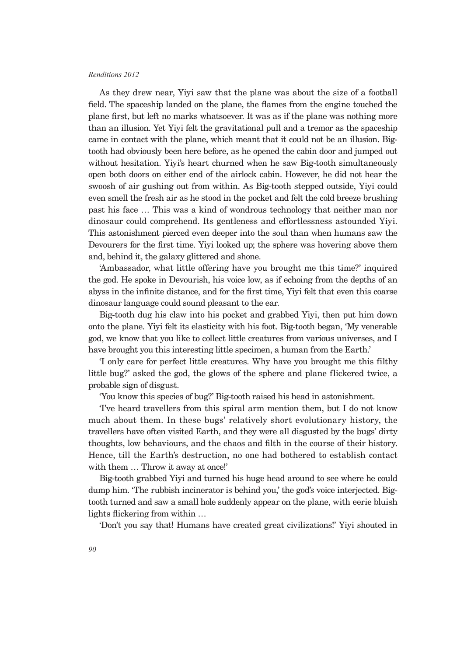As they drew near, Yiyi saw that the plane was about the size of a football field. The spaceship landed on the plane, the flames from the engine touched the plane first, but left no marks whatsoever. It was as if the plane was nothing more than an illusion. Yet Yiyi felt the gravitational pull and a tremor as the spaceship came in contact with the plane, which meant that it could not be an illusion. Bigtooth had obviously been here before, as he opened the cabin door and jumped out without hesitation. Yiyi's heart churned when he saw Big-tooth simultaneously open both doors on either end of the airlock cabin. However, he did not hear the swoosh of air gushing out from within. As Big-tooth stepped outside, Yiyi could even smell the fresh air as he stood in the pocket and felt the cold breeze brushing past his face … This was a kind of wondrous technology that neither man nor dinosaur could comprehend. Its gentleness and effortlessness astounded Yiyi. This astonishment pierced even deeper into the soul than when humans saw the Devourers for the first time. Yiyi looked up; the sphere was hovering above them and, behind it, the galaxy glittered and shone.

'Ambassador, what little offering have you brought me this time?' inquired the god. He spoke in Devourish, his voice low, as if echoing from the depths of an abyss in the infinite distance, and for the first time, Yiyi felt that even this coarse dinosaur language could sound pleasant to the ear.

Big-tooth dug his claw into his pocket and grabbed Yiyi, then put him down onto the plane. Yiyi felt its elasticity with his foot. Big-tooth began, 'My venerable god, we know that you like to collect little creatures from various universes, and I have brought you this interesting little specimen, a human from the Earth.'

'I only care for perfect little creatures. Why have you brought me this filthy little bug?' asked the god, the glows of the sphere and plane flickered twice, a probable sign of disgust.

'You know this species of bug?' Big-tooth raised his head in astonishment.

'I've heard travellers from this spiral arm mention them, but I do not know much about them. In these bugs' relatively short evolutionary history, the travellers have often visited Earth, and they were all disgusted by the bugs' dirty thoughts, low behaviours, and the chaos and filth in the course of their history. Hence, till the Earth's destruction, no one had bothered to establish contact with them  $\ldots$  Throw it away at once!'

Big-tooth grabbed Yiyi and turned his huge head around to see where he could dump him. 'The rubbish incinerator is behind you,' the god's voice interjected. Bigtooth turned and saw a small hole suddenly appear on the plane, with eerie bluish lights flickering from within …

'Don't you say that! Humans have created great civilizations!' Yiyi shouted in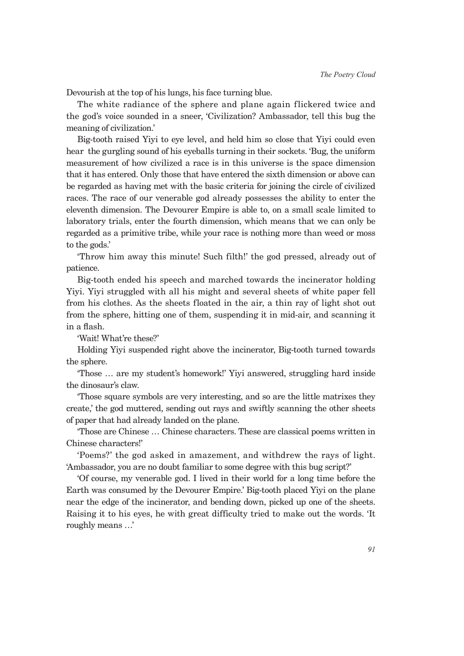Devourish at the top of his lungs, his face turning blue.

The white radiance of the sphere and plane again flickered twice and the god's voice sounded in a sneer, 'Civilization? Ambassador, tell this bug the meaning of civilization.'

Big-tooth raised Yiyi to eye level, and held him so close that Yiyi could even hear the gurgling sound of his eyeballs turning in their sockets. 'Bug, the uniform measurement of how civilized a race is in this universe is the space dimension that it has entered. Only those that have entered the sixth dimension or above can be regarded as having met with the basic criteria for joining the circle of civilized races. The race of our venerable god already possesses the ability to enter the eleventh dimension. The Devourer Empire is able to, on a small scale limited to laboratory trials, enter the fourth dimension, which means that we can only be regarded as a primitive tribe, while your race is nothing more than weed or moss to the gods.'

'Throw him away this minute! Such filth!' the god pressed, already out of patience.

Big-tooth ended his speech and marched towards the incinerator holding Yiyi. Yiyi struggled with all his might and several sheets of white paper fell from his clothes. As the sheets floated in the air, a thin ray of light shot out from the sphere, hitting one of them, suspending it in mid-air, and scanning it in a flash.

'Wait! What're these?'

Holding Yiyi suspended right above the incinerator, Big-tooth turned towards the sphere.

'Those … are my student's homework!' Yiyi answered, struggling hard inside the dinosaur's claw.

'Those square symbols are very interesting, and so are the little matrixes they create,' the god muttered, sending out rays and swiftly scanning the other sheets of paper that had already landed on the plane.

'Those are Chinese … Chinese characters. These are classical poems written in Chinese characters!'

'Poems?' the god asked in amazement, and withdrew the rays of light. 'Ambassador, you are no doubt familiar to some degree with this bug script?'

'Of course, my venerable god. I lived in their world for a long time before the Earth was consumed by the Devourer Empire.' Big-tooth placed Yiyi on the plane near the edge of the incinerator, and bending down, picked up one of the sheets. Raising it to his eyes, he with great difficulty tried to make out the words. 'It roughly means …'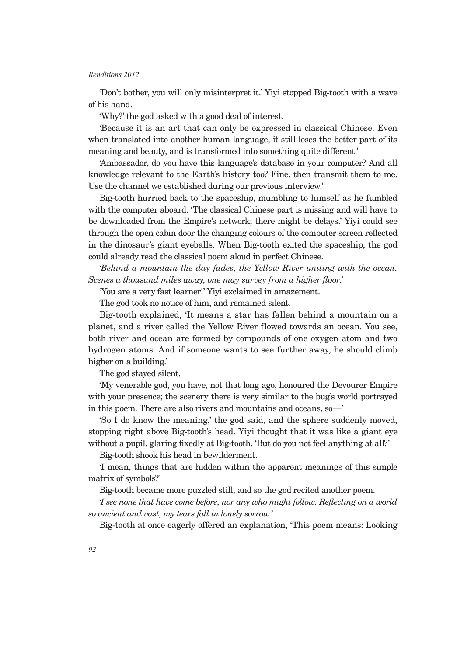'Don't bother, you will only misinterpret it.' Yiyi stopped Big-tooth with a wave of his hand.

'Why?' the god asked with a good deal of interest.

'Because it is an art that can only be expressed in classical Chinese. Even when translated into another human language, it still loses the better part of its meaning and beauty, and is transformed into something quite different.'

'Ambassador, do you have this language's database in your computer? And all knowledge relevant to the Earth's history too? Fine, then transmit them to me. Use the channel we established during our previous interview.'

Big-tooth hurried back to the spaceship, mumbling to himself as he fumbled with the computer aboard. 'The classical Chinese part is missing and will have to be downloaded from the Empire's network; there might be delays.' Yiyi could see through the open cabin door the changing colours of the computer screen reflected in the dinosaur's giant eyeballs. When Big-tooth exited the spaceship, the god could already read the classical poem aloud in perfect Chinese.

'*Behind a mountain the day fades, the Yellow River uniting with the ocean. Scenes a thousand miles away, one may survey from a higher floor*.'

'You are a very fast learner!' Yiyi exclaimed in amazement.

The god took no notice of him, and remained silent.

Big-tooth explained, 'It means a star has fallen behind a mountain on a planet, and a river called the Yellow River flowed towards an ocean. You see, both river and ocean are formed by compounds of one oxygen atom and two hydrogen atoms. And if someone wants to see further away, he should climb higher on a building.'

The god stayed silent.

'My venerable god, you have, not that long ago, honoured the Devourer Empire with your presence; the scenery there is very similar to the bug's world portrayed in this poem. There are also rivers and mountains and oceans, so—'

'So I do know the meaning,' the god said, and the sphere suddenly moved, stopping right above Big-tooth's head. Yiyi thought that it was like a giant eye without a pupil, glaring fixedly at Big-tooth. 'But do you not feel anything at all?'

Big-tooth shook his head in bewilderment.

'I mean, things that are hidden within the apparent meanings of this simple matrix of symbols?'

Big-tooth became more puzzled still, and so the god recited another poem.

'*I see none that have come before, nor any who might follow. Reflecting on a world so ancient and vast, my tears fall in lonely sorrow.*'

Big-tooth at once eagerly offered an explanation, 'This poem means: Looking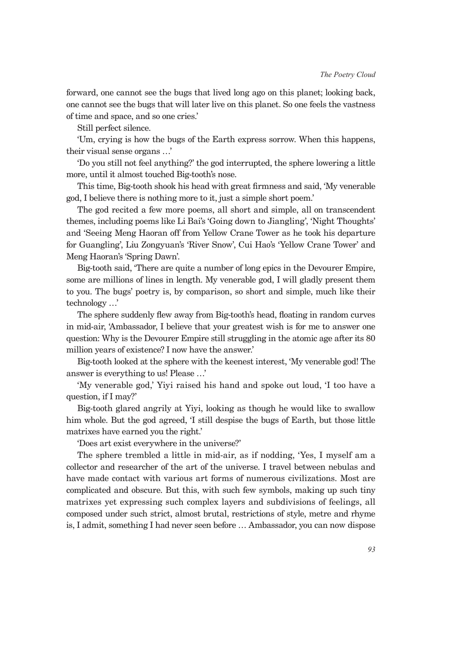forward, one cannot see the bugs that lived long ago on this planet; looking back, one cannot see the bugs that will later live on this planet. So one feels the vastness of time and space, and so one cries.'

Still perfect silence.

'Um, crying is how the bugs of the Earth express sorrow. When this happens, their visual sense organs …'

'Do you still not feel anything?' the god interrupted, the sphere lowering a little more, until it almost touched Big-tooth's nose.

This time, Big-tooth shook his head with great firmness and said, 'My venerable god, I believe there is nothing more to it, just a simple short poem.'

The god recited a few more poems, all short and simple, all on transcendent themes, including poems like Li Bai's 'Going down to Jiangling', 'Night Thoughts' and 'Seeing Meng Haoran off from Yellow Crane Tower as he took his departure for Guangling', Liu Zongyuan's 'River Snow', Cui Hao's 'Yellow Crane Tower' and Meng Haoran's 'Spring Dawn'.

Big-tooth said, 'There are quite a number of long epics in the Devourer Empire, some are millions of lines in length. My venerable god, I will gladly present them to you. The bugs' poetry is, by comparison, so short and simple, much like their technology …'

The sphere suddenly flew away from Big-tooth's head, floating in random curves in mid-air, 'Ambassador, I believe that your greatest wish is for me to answer one question: Why is the Devourer Empire still struggling in the atomic age after its 80 million years of existence? I now have the answer.'

Big-tooth looked at the sphere with the keenest interest, 'My venerable god! The answer is everything to us! Please …'

'My venerable god,' Yiyi raised his hand and spoke out loud, 'I too have a question, if I may?'

Big-tooth glared angrily at Yiyi, looking as though he would like to swallow him whole. But the god agreed, 'I still despise the bugs of Earth, but those little matrixes have earned you the right.'

'Does art exist everywhere in the universe?'

The sphere trembled a little in mid-air, as if nodding, 'Yes, I myself am a collector and researcher of the art of the universe. I travel between nebulas and have made contact with various art forms of numerous civilizations. Most are complicated and obscure. But this, with such few symbols, making up such tiny matrixes yet expressing such complex layers and subdivisions of feelings, all composed under such strict, almost brutal, restrictions of style, metre and rhyme is, I admit, something I had never seen before … Ambassador, you can now dispose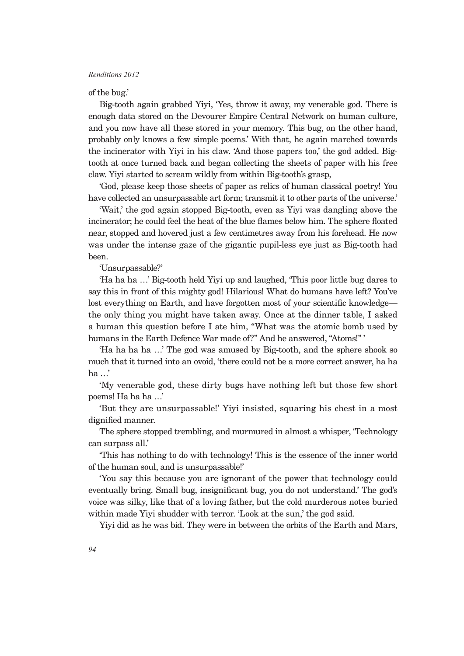of the bug.'

Big-tooth again grabbed Yiyi, 'Yes, throw it away, my venerable god. There is enough data stored on the Devourer Empire Central Network on human culture, and you now have all these stored in your memory. This bug, on the other hand, probably only knows a few simple poems.' With that, he again marched towards the incinerator with Yiyi in his claw. 'And those papers too,' the god added. Bigtooth at once turned back and began collecting the sheets of paper with his free claw. Yiyi started to scream wildly from within Big-tooth's grasp,

'God, please keep those sheets of paper as relics of human classical poetry! You have collected an unsurpassable art form; transmit it to other parts of the universe.'

'Wait,' the god again stopped Big-tooth, even as Yiyi was dangling above the incinerator; he could feel the heat of the blue flames below him. The sphere floated near, stopped and hovered just a few centimetres away from his forehead. He now was under the intense gaze of the gigantic pupil-less eye just as Big-tooth had been.

'Unsurpassable?'

'Ha ha ha …' Big-tooth held Yiyi up and laughed, 'This poor little bug dares to say this in front of this mighty god! Hilarious! What do humans have left? You've lost everything on Earth, and have forgotten most of your scientific knowledge the only thing you might have taken away. Once at the dinner table, I asked a human this question before I ate him, "What was the atomic bomb used by humans in the Earth Defence War made of?" And he answered, "Atoms!" '

'Ha ha ha ha …' The god was amused by Big-tooth, and the sphere shook so much that it turned into an ovoid, 'there could not be a more correct answer, ha ha ha …'

'My venerable god, these dirty bugs have nothing left but those few short poems! Ha ha ha …'

'But they are unsurpassable!' Yiyi insisted, squaring his chest in a most dignified manner.

The sphere stopped trembling, and murmured in almost a whisper, 'Technology can surpass all.'

'This has nothing to do with technology! This is the essence of the inner world of the human soul, and is unsurpassable!'

'You say this because you are ignorant of the power that technology could eventually bring. Small bug, insignificant bug, you do not understand.' The god's voice was silky, like that of a loving father, but the cold murderous notes buried within made Yiyi shudder with terror. 'Look at the sun,' the god said.

Yiyi did as he was bid. They were in between the orbits of the Earth and Mars,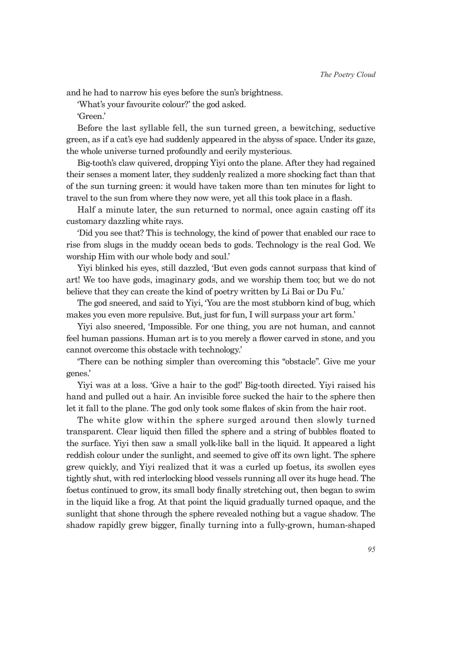and he had to narrow his eyes before the sun's brightness.

'What's your favourite colour?' the god asked.

'Green.'

Before the last syllable fell, the sun turned green, a bewitching, seductive green, as if a cat's eye had suddenly appeared in the abyss of space. Under its gaze, the whole universe turned profoundly and eerily mysterious.

Big-tooth's claw quivered, dropping Yiyi onto the plane. After they had regained their senses a moment later, they suddenly realized a more shocking fact than that of the sun turning green: it would have taken more than ten minutes for light to travel to the sun from where they now were, yet all this took place in a flash.

Half a minute later, the sun returned to normal, once again casting off its customary dazzling white rays.

'Did you see that? This is technology, the kind of power that enabled our race to rise from slugs in the muddy ocean beds to gods. Technology is the real God. We worship Him with our whole body and soul.'

Yiyi blinked his eyes, still dazzled, 'But even gods cannot surpass that kind of art! We too have gods, imaginary gods, and we worship them too; but we do not believe that they can create the kind of poetry written by Li Bai or Du Fu.'

The god sneered, and said to Yiyi, 'You are the most stubborn kind of bug, which makes you even more repulsive. But, just for fun, I will surpass your art form.'

Yiyi also sneered, 'Impossible. For one thing, you are not human, and cannot feel human passions. Human art is to you merely a flower carved in stone, and you cannot overcome this obstacle with technology.'

'There can be nothing simpler than overcoming this "obstacle". Give me your genes.'

Yiyi was at a loss. 'Give a hair to the god!' Big-tooth directed. Yiyi raised his hand and pulled out a hair. An invisible force sucked the hair to the sphere then let it fall to the plane. The god only took some flakes of skin from the hair root.

The white glow within the sphere surged around then slowly turned transparent. Clear liquid then filled the sphere and a string of bubbles floated to the surface. Yiyi then saw a small yolk-like ball in the liquid. It appeared a light reddish colour under the sunlight, and seemed to give off its own light. The sphere grew quickly, and Yiyi realized that it was a curled up foetus, its swollen eyes tightly shut, with red interlocking blood vessels running all over its huge head. The foetus continued to grow, its small body finally stretching out, then began to swim in the liquid like a frog. At that point the liquid gradually turned opaque, and the sunlight that shone through the sphere revealed nothing but a vague shadow. The shadow rapidly grew bigger, finally turning into a fully-grown, human-shaped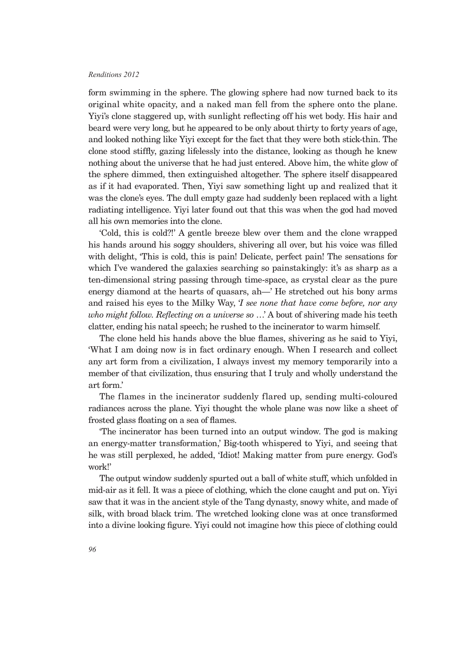form swimming in the sphere. The glowing sphere had now turned back to its original white opacity, and a naked man fell from the sphere onto the plane. Yiyi's clone staggered up, with sunlight reflecting off his wet body. His hair and beard were very long, but he appeared to be only about thirty to forty years of age, and looked nothing like Yiyi except for the fact that they were both stick-thin. The clone stood stiffly, gazing lifelessly into the distance, looking as though he knew nothing about the universe that he had just entered. Above him, the white glow of the sphere dimmed, then extinguished altogether. The sphere itself disappeared as if it had evaporated. Then, Yiyi saw something light up and realized that it was the clone's eyes. The dull empty gaze had suddenly been replaced with a light radiating intelligence. Yiyi later found out that this was when the god had moved all his own memories into the clone.

'Cold, this is cold?!' A gentle breeze blew over them and the clone wrapped his hands around his soggy shoulders, shivering all over, but his voice was filled with delight, 'This is cold, this is pain! Delicate, perfect pain! The sensations for which I've wandered the galaxies searching so painstakingly: it's as sharp as a ten-dimensional string passing through time-space, as crystal clear as the pure energy diamond at the hearts of quasars, ah—' He stretched out his bony arms and raised his eyes to the Milky Way, '*I see none that have come before, nor any who might follow. Reflecting on a universe so* …' A bout of shivering made his teeth clatter, ending his natal speech; he rushed to the incinerator to warm himself.

The clone held his hands above the blue flames, shivering as he said to Yiyi, 'What I am doing now is in fact ordinary enough. When I research and collect any art form from a civilization, I always invest my memory temporarily into a member of that civilization, thus ensuring that I truly and wholly understand the art form.'

The flames in the incinerator suddenly flared up, sending multi-coloured radiances across the plane. Yiyi thought the whole plane was now like a sheet of frosted glass floating on a sea of flames.

'The incinerator has been turned into an output window. The god is making an energy-matter transformation,' Big-tooth whispered to Yiyi, and seeing that he was still perplexed, he added, 'Idiot! Making matter from pure energy. God's work!'

The output window suddenly spurted out a ball of white stuff, which unfolded in mid-air as it fell. It was a piece of clothing, which the clone caught and put on. Yiyi saw that it was in the ancient style of the Tang dynasty, snowy white, and made of silk, with broad black trim. The wretched looking clone was at once transformed into a divine looking figure. Yiyi could not imagine how this piece of clothing could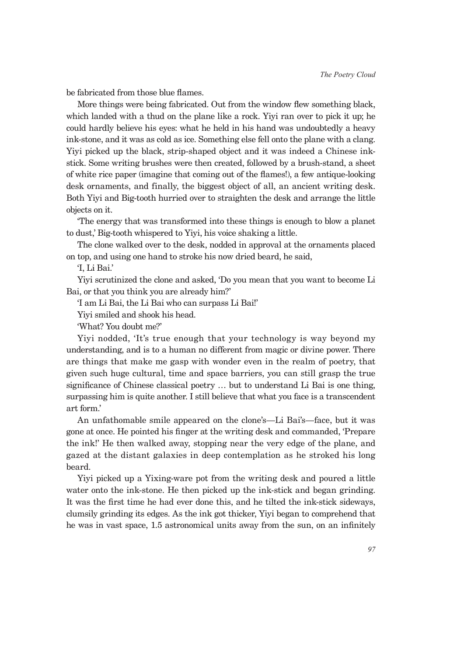be fabricated from those blue flames.

More things were being fabricated. Out from the window flew something black, which landed with a thud on the plane like a rock. Yiyi ran over to pick it up; he could hardly believe his eyes: what he held in his hand was undoubtedly a heavy ink-stone, and it was as cold as ice. Something else fell onto the plane with a clang. Yiyi picked up the black, strip-shaped object and it was indeed a Chinese inkstick. Some writing brushes were then created, followed by a brush-stand, a sheet of white rice paper (imagine that coming out of the flames!), a few antique-looking desk ornaments, and finally, the biggest object of all, an ancient writing desk. Both Yiyi and Big-tooth hurried over to straighten the desk and arrange the little objects on it.

'The energy that was transformed into these things is enough to blow a planet to dust,' Big-tooth whispered to Yiyi, his voice shaking a little.

The clone walked over to the desk, nodded in approval at the ornaments placed on top, and using one hand to stroke his now dried beard, he said,

'I, Li Bai.'

Yiyi scrutinized the clone and asked, 'Do you mean that you want to become Li Bai, or that you think you are already him?'

'I am Li Bai, the Li Bai who can surpass Li Bai!'

Yiyi smiled and shook his head.

'What? You doubt me?'

Yiyi nodded, 'It's true enough that your technology is way beyond my understanding, and is to a human no different from magic or divine power. There are things that make me gasp with wonder even in the realm of poetry, that given such huge cultural, time and space barriers, you can still grasp the true significance of Chinese classical poetry … but to understand Li Bai is one thing, surpassing him is quite another. I still believe that what you face is a transcendent art form.'

An unfathomable smile appeared on the clone's—Li Bai's—face, but it was gone at once. He pointed his finger at the writing desk and commanded, 'Prepare the ink!' He then walked away, stopping near the very edge of the plane, and gazed at the distant galaxies in deep contemplation as he stroked his long beard.

Yiyi picked up a Yixing-ware pot from the writing desk and poured a little water onto the ink-stone. He then picked up the ink-stick and began grinding. It was the first time he had ever done this, and he tilted the ink-stick sideways, clumsily grinding its edges. As the ink got thicker, Yiyi began to comprehend that he was in vast space, 1.5 astronomical units away from the sun, on an infinitely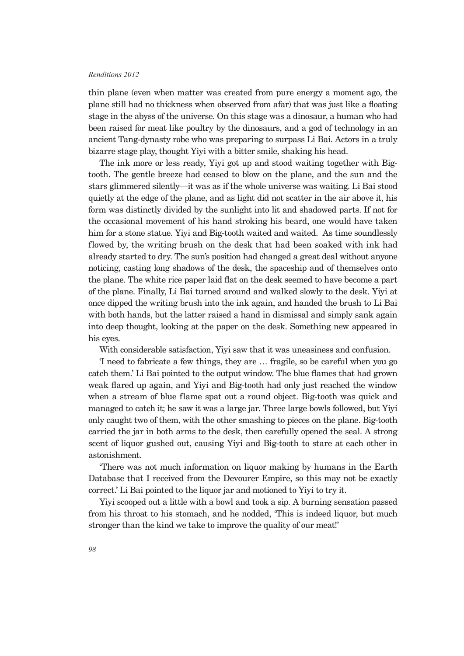thin plane (even when matter was created from pure energy a moment ago, the plane still had no thickness when observed from afar) that was just like a floating stage in the abyss of the universe. On this stage was a dinosaur, a human who had been raised for meat like poultry by the dinosaurs, and a god of technology in an ancient Tang-dynasty robe who was preparing to surpass Li Bai. Actors in a truly bizarre stage play, thought Yiyi with a bitter smile, shaking his head.

The ink more or less ready, Yiyi got up and stood waiting together with Bigtooth. The gentle breeze had ceased to blow on the plane, and the sun and the stars glimmered silently—it was as if the whole universe was waiting. Li Bai stood quietly at the edge of the plane, and as light did not scatter in the air above it, his form was distinctly divided by the sunlight into lit and shadowed parts. If not for the occasional movement of his hand stroking his beard, one would have taken him for a stone statue. Yiyi and Big-tooth waited and waited. As time soundlessly flowed by, the writing brush on the desk that had been soaked with ink had already started to dry. The sun's position had changed a great deal without anyone noticing, casting long shadows of the desk, the spaceship and of themselves onto the plane. The white rice paper laid flat on the desk seemed to have become a part of the plane. Finally, Li Bai turned around and walked slowly to the desk. Yiyi at once dipped the writing brush into the ink again, and handed the brush to Li Bai with both hands, but the latter raised a hand in dismissal and simply sank again into deep thought, looking at the paper on the desk. Something new appeared in his eyes.

With considerable satisfaction, Yiyi saw that it was uneasiness and confusion.

'I need to fabricate a few things, they are … fragile, so be careful when you go catch them.' Li Bai pointed to the output window. The blue flames that had grown weak flared up again, and Yiyi and Big-tooth had only just reached the window when a stream of blue flame spat out a round object. Big-tooth was quick and managed to catch it; he saw it was a large jar. Three large bowls followed, but Yiyi only caught two of them, with the other smashing to pieces on the plane. Big-tooth carried the jar in both arms to the desk, then carefully opened the seal. A strong scent of liquor gushed out, causing Yiyi and Big-tooth to stare at each other in astonishment.

'There was not much information on liquor making by humans in the Earth Database that I received from the Devourer Empire, so this may not be exactly correct.' Li Bai pointed to the liquor jar and motioned to Yiyi to try it.

Yiyi scooped out a little with a bowl and took a sip. A burning sensation passed from his throat to his stomach, and he nodded, 'This is indeed liquor, but much stronger than the kind we take to improve the quality of our meat!'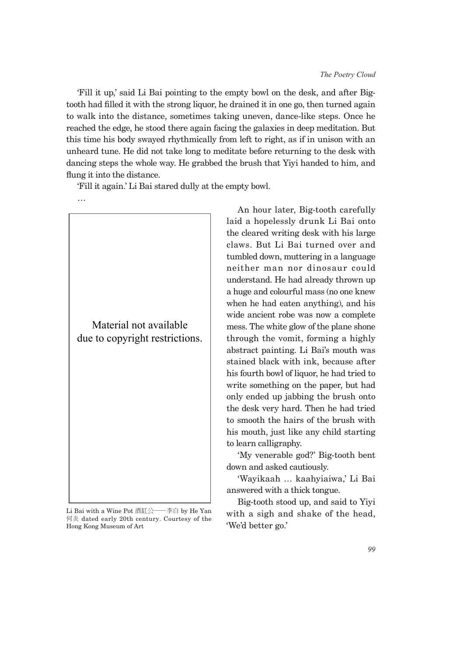'Fill it up,' said Li Bai pointing to the empty bowl on the desk, and after Bigtooth had filled it with the strong liquor, he drained it in one go, then turned again to walk into the distance, sometimes taking uneven, dance-like steps. Once he reached the edge, he stood there again facing the galaxies in deep meditation. But this time his body swayed rhythmically from left to right, as if in unison with an unheard tune. He did not take long to meditate before returning to the desk with dancing steps the whole way. He grabbed the brush that Yiyi handed to him, and flung it into the distance.

'Fill it again.' Li Bai stared dully at the empty bowl.

…



Li Bai with a Wine Pot 酒缸公—— 李白 by He Yan 何炎 dated early 20th century. Courtesy of the Hong Kong Museum of Art

An hour later, Big-tooth carefully laid a hopelessly drunk Li Bai onto the cleared writing desk with his large claws. But Li Bai turned over and tumbled down, muttering in a language neither man nor dinosaur could understand. He had already thrown up a huge and colourful mass (no one knew when he had eaten anything), and his wide ancient robe was now a complete mess. The white glow of the plane shone through the vomit, forming a highly abstract painting. Li Bai's mouth was stained black with ink, because after his fourth bowl of liquor, he had tried to write something on the paper, but had only ended up jabbing the brush onto the desk very hard. Then he had tried to smooth the hairs of the brush with his mouth, just like any child starting to learn calligraphy.

'My venerable god?' Big-tooth bent down and asked cautiously.

'Wayikaah … kaahyiaiwa,' Li Bai answered with a thick tongue.

Big-tooth stood up, and said to Yiyi with a sigh and shake of the head, 'We'd better go.'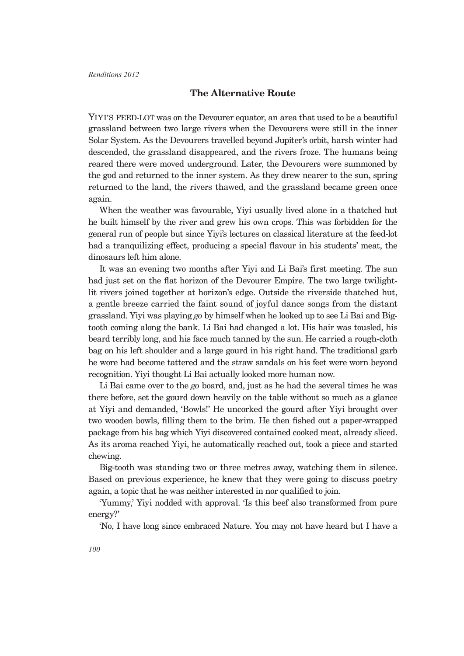## **The Alternative Route**

YIYI'S FEED-LOT was on the Devourer equator, an area that used to be a beautiful grassland between two large rivers when the Devourers were still in the inner Solar System. As the Devourers travelled beyond Jupiter's orbit, harsh winter had descended, the grassland disappeared, and the rivers froze. The humans being reared there were moved underground. Later, the Devourers were summoned by the god and returned to the inner system. As they drew nearer to the sun, spring returned to the land, the rivers thawed, and the grassland became green once again.

When the weather was favourable, Yiyi usually lived alone in a thatched hut he built himself by the river and grew his own crops. This was forbidden for the general run of people but since Yiyi's lectures on classical literature at the feed-lot had a tranquilizing effect, producing a special flavour in his students' meat, the dinosaurs left him alone.

It was an evening two months after Yiyi and Li Bai's first meeting. The sun had just set on the flat horizon of the Devourer Empire. The two large twilightlit rivers joined together at horizon's edge. Outside the riverside thatched hut, a gentle breeze carried the faint sound of joyful dance songs from the distant grassland. Yiyi was playing *go* by himself when he looked up to see Li Bai and Bigtooth coming along the bank. Li Bai had changed a lot. His hair was tousled, his beard terribly long, and his face much tanned by the sun. He carried a rough-cloth bag on his left shoulder and a large gourd in his right hand. The traditional garb he wore had become tattered and the straw sandals on his feet were worn beyond recognition. Yiyi thought Li Bai actually looked more human now.

Li Bai came over to the *go* board, and, just as he had the several times he was there before, set the gourd down heavily on the table without so much as a glance at Yiyi and demanded, 'Bowls!' He uncorked the gourd after Yiyi brought over two wooden bowls, filling them to the brim. He then fished out a paper-wrapped package from his bag which Yiyi discovered contained cooked meat, already sliced. As its aroma reached Yiyi, he automatically reached out, took a piece and started chewing.

Big-tooth was standing two or three metres away, watching them in silence. Based on previous experience, he knew that they were going to discuss poetry again, a topic that he was neither interested in nor qualified to join.

'Yummy,' Yiyi nodded with approval. 'Is this beef also transformed from pure energy?'

'No, I have long since embraced Nature. You may not have heard but I have a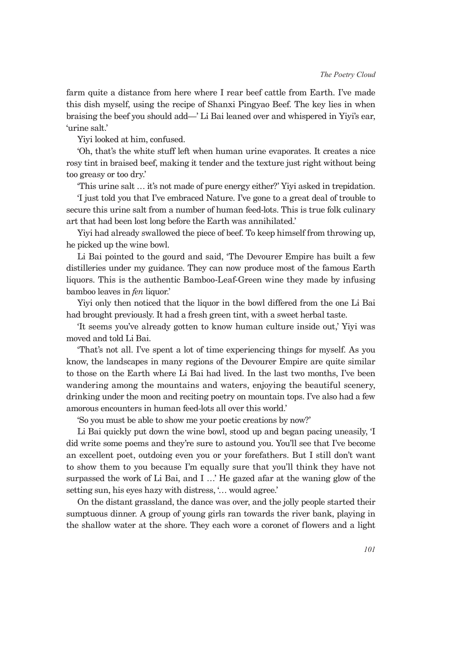farm quite a distance from here where I rear beef cattle from Earth. I've made this dish myself, using the recipe of Shanxi Pingyao Beef. The key lies in when braising the beef you should add—' Li Bai leaned over and whispered in Yiyi's ear, 'urine salt.'

Yiyi looked at him, confused.

'Oh, that's the white stuff left when human urine evaporates. It creates a nice rosy tint in braised beef, making it tender and the texture just right without being too greasy or too dry.'

'This urine salt … it's not made of pure energy either?' Yiyi asked in trepidation.

'I just told you that I've embraced Nature. I've gone to a great deal of trouble to secure this urine salt from a number of human feed-lots. This is true folk culinary art that had been lost long before the Earth was annihilated.'

Yiyi had already swallowed the piece of beef. To keep himself from throwing up, he picked up the wine bowl.

Li Bai pointed to the gourd and said, 'The Devourer Empire has built a few distilleries under my guidance. They can now produce most of the famous Earth liquors. This is the authentic Bamboo-Leaf-Green wine they made by infusing bamboo leaves in *fen* liquor.'

Yiyi only then noticed that the liquor in the bowl differed from the one Li Bai had brought previously. It had a fresh green tint, with a sweet herbal taste.

'It seems you've already gotten to know human culture inside out,' Yiyi was moved and told Li Bai.

'That's not all. I've spent a lot of time experiencing things for myself. As you know, the landscapes in many regions of the Devourer Empire are quite similar to those on the Earth where Li Bai had lived. In the last two months, I've been wandering among the mountains and waters, enjoying the beautiful scenery, drinking under the moon and reciting poetry on mountain tops. I've also had a few amorous encounters in human feed-lots all over this world.'

'So you must be able to show me your poetic creations by now?'

Li Bai quickly put down the wine bowl, stood up and began pacing uneasily, 'I did write some poems and they're sure to astound you. You'll see that I've become an excellent poet, outdoing even you or your forefathers. But I still don't want to show them to you because I'm equally sure that you'll think they have not surpassed the work of Li Bai, and I …' He gazed afar at the waning glow of the setting sun, his eyes hazy with distress, '… would agree.'

On the distant grassland, the dance was over, and the jolly people started their sumptuous dinner. A group of young girls ran towards the river bank, playing in the shallow water at the shore. They each wore a coronet of flowers and a light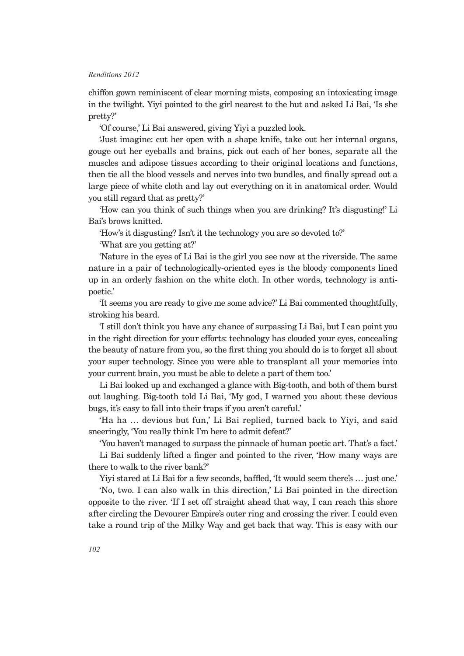chiffon gown reminiscent of clear morning mists, composing an intoxicating image in the twilight. Yiyi pointed to the girl nearest to the hut and asked Li Bai, 'Is she pretty?'

'Of course,' Li Bai answered, giving Yiyi a puzzled look.

'Just imagine: cut her open with a shape knife, take out her internal organs, gouge out her eyeballs and brains, pick out each of her bones, separate all the muscles and adipose tissues according to their original locations and functions, then tie all the blood vessels and nerves into two bundles, and finally spread out a large piece of white cloth and lay out everything on it in anatomical order. Would you still regard that as pretty?'

'How can you think of such things when you are drinking? It's disgusting!' Li Bai's brows knitted.

'How's it disgusting? Isn't it the technology you are so devoted to?'

'What are you getting at?'

'Nature in the eyes of Li Bai is the girl you see now at the riverside. The same nature in a pair of technologically-oriented eyes is the bloody components lined up in an orderly fashion on the white cloth. In other words, technology is antipoetic.'

'It seems you are ready to give me some advice?' Li Bai commented thoughtfully, stroking his beard.

'I still don't think you have any chance of surpassing Li Bai, but I can point you in the right direction for your efforts: technology has clouded your eyes, concealing the beauty of nature from you, so the first thing you should do is to forget all about your super technology. Since you were able to transplant all your memories into your current brain, you must be able to delete a part of them too.'

Li Bai looked up and exchanged a glance with Big-tooth, and both of them burst out laughing. Big-tooth told Li Bai, 'My god, I warned you about these devious bugs, it's easy to fall into their traps if you aren't careful.'

'Ha ha … devious but fun,' Li Bai replied, turned back to Yiyi, and said sneeringly, 'You really think I'm here to admit defeat?'

'You haven't managed to surpass the pinnacle of human poetic art. That's a fact.' Li Bai suddenly lifted a finger and pointed to the river, 'How many ways are

there to walk to the river bank?'

Yiyi stared at Li Bai for a few seconds, baffled, 'It would seem there's … just one.'

'No, two. I can also walk in this direction,' Li Bai pointed in the direction opposite to the river. 'If I set off straight ahead that way, I can reach this shore after circling the Devourer Empire's outer ring and crossing the river. I could even take a round trip of the Milky Way and get back that way. This is easy with our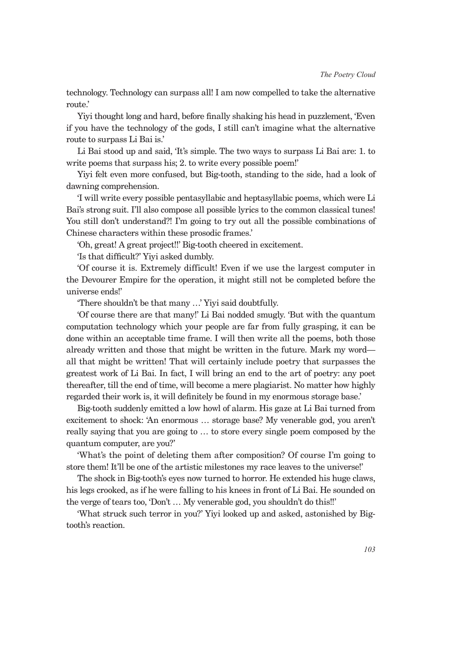technology. Technology can surpass all! I am now compelled to take the alternative route.'

Yiyi thought long and hard, before finally shaking his head in puzzlement, 'Even if you have the technology of the gods, I still can't imagine what the alternative route to surpass Li Bai is.'

Li Bai stood up and said, 'It's simple. The two ways to surpass Li Bai are: 1. to write poems that surpass his; 2. to write every possible poem!'

Yiyi felt even more confused, but Big-tooth, standing to the side, had a look of dawning comprehension.

'I will write every possible pentasyllabic and heptasyllabic poems, which were Li Bai's strong suit. I'll also compose all possible lyrics to the common classical tunes! You still don't understand?! I'm going to try out all the possible combinations of Chinese characters within these prosodic frames.'

'Oh, great! A great project!!' Big-tooth cheered in excitement.

'Is that difficult?' Yiyi asked dumbly.

'Of course it is. Extremely difficult! Even if we use the largest computer in the Devourer Empire for the operation, it might still not be completed before the universe ends!'

'There shouldn't be that many …' Yiyi said doubtfully.

'Of course there are that many!' Li Bai nodded smugly. 'But with the quantum computation technology which your people are far from fully grasping, it can be done within an acceptable time frame. I will then write all the poems, both those already written and those that might be written in the future. Mark my word all that might be written! That will certainly include poetry that surpasses the greatest work of Li Bai. In fact, I will bring an end to the art of poetry: any poet thereafter, till the end of time, will become a mere plagiarist. No matter how highly regarded their work is, it will definitely be found in my enormous storage base.'

Big-tooth suddenly emitted a low howl of alarm. His gaze at Li Bai turned from excitement to shock: 'An enormous … storage base? My venerable god, you aren't really saying that you are going to … to store every single poem composed by the quantum computer, are you?'

'What's the point of deleting them after composition? Of course I'm going to store them! It'll be one of the artistic milestones my race leaves to the universe!'

The shock in Big-tooth's eyes now turned to horror. He extended his huge claws, his legs crooked, as if he were falling to his knees in front of Li Bai. He sounded on the verge of tears too, 'Don't … My venerable god, you shouldn't do this!!'

'What struck such terror in you?' Yiyi looked up and asked, astonished by Bigtooth's reaction.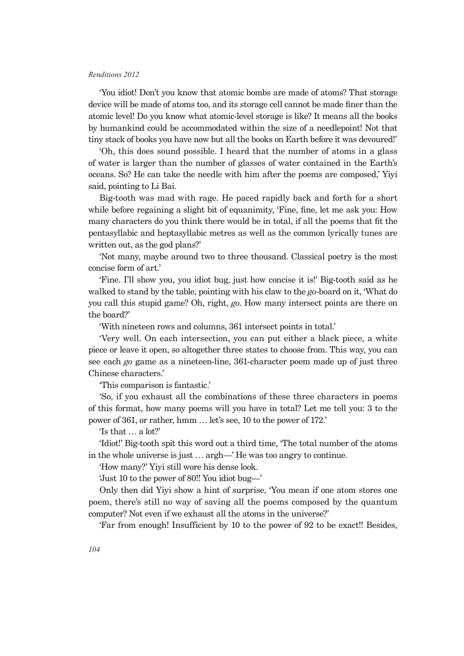'You idiot! Don't you know that atomic bombs are made of atoms? That storage device will be made of atoms too, and its storage cell cannot be made finer than the atomic level! Do you know what atomic-level storage is like? It means all the books by humankind could be accommodated within the size of a needlepoint! Not that tiny stack of books you have now but all the books on Earth before it was devoured!'

'Oh, this does sound possible. I heard that the number of atoms in a glass of water is larger than the number of glasses of water contained in the Earth's oceans. So? He can take the needle with him after the poems are composed,' Yiyi said, pointing to Li Bai.

Big-tooth was mad with rage. He paced rapidly back and forth for a short while before regaining a slight bit of equanimity, 'Fine, fine, let me ask you: How many characters do you think there would be in total, if all the poems that fit the pentasyllabic and heptasyllabic metres as well as the common lyrically tunes are written out, as the god plans?'

'Not many, maybe around two to three thousand. Classical poetry is the most concise form of art.'

'Fine. I'll show you, you idiot bug, just how concise it is!' Big-tooth said as he walked to stand by the table, pointing with his claw to the *go*-board on it, 'What do you call this stupid game? Oh, right, *go*. How many intersect points are there on the board?'

'With nineteen rows and columns, 361 intersect points in total.'

'Very well. On each intersection, you can put either a black piece, a white piece or leave it open, so altogether three states to choose from. This way, you can see each *go* game as a nineteen-line, 361-character poem made up of just three Chinese characters.'

'This comparison is fantastic.'

'So, if you exhaust all the combinations of these three characters in poems of this format, how many poems will you have in total? Let me tell you: 3 to the power of 361, or rather, hmm … let's see, 10 to the power of 172.'

'Is that … a lot?'

'Idiot!' Big-tooth spit this word out a third time, 'The total number of the atoms in the whole universe is just … argh—' He was too angry to continue.

'How many?' Yiyi still wore his dense look.

'Just 10 to the power of 80!! You idiot bug—'

Only then did Yiyi show a hint of surprise, 'You mean if one atom stores one poem, there's still no way of saving all the poems composed by the quantum computer? Not even if we exhaust all the atoms in the universe?'

'Far from enough! Insufficient by 10 to the power of 92 to be exact!! Besides,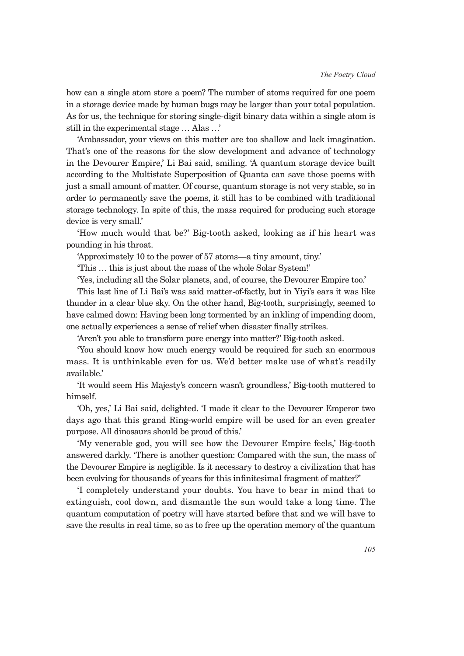how can a single atom store a poem? The number of atoms required for one poem in a storage device made by human bugs may be larger than your total population. As for us, the technique for storing single-digit binary data within a single atom is still in the experimental stage … Alas …'

'Ambassador, your views on this matter are too shallow and lack imagination. That's one of the reasons for the slow development and advance of technology in the Devourer Empire,' Li Bai said, smiling. 'A quantum storage device built according to the Multistate Superposition of Quanta can save those poems with just a small amount of matter. Of course, quantum storage is not very stable, so in order to permanently save the poems, it still has to be combined with traditional storage technology. In spite of this, the mass required for producing such storage device is very small.'

'How much would that be?' Big-tooth asked, looking as if his heart was pounding in his throat.

'Approximately 10 to the power of 57 atoms—a tiny amount, tiny.'

'This … this is just about the mass of the whole Solar System!'

'Yes, including all the Solar planets, and, of course, the Devourer Empire too.'

This last line of Li Bai's was said matter-of-factly, but in Yiyi's ears it was like thunder in a clear blue sky. On the other hand, Big-tooth, surprisingly, seemed to have calmed down: Having been long tormented by an inkling of impending doom, one actually experiences a sense of relief when disaster finally strikes.

'Aren't you able to transform pure energy into matter?' Big-tooth asked.

'You should know how much energy would be required for such an enormous mass. It is unthinkable even for us. We'd better make use of what's readily available.'

'It would seem His Majesty's concern wasn't groundless,' Big-tooth muttered to himself.

'Oh, yes,' Li Bai said, delighted. 'I made it clear to the Devourer Emperor two days ago that this grand Ring-world empire will be used for an even greater purpose. All dinosaurs should be proud of this.'

'My venerable god, you will see how the Devourer Empire feels,' Big-tooth answered darkly. 'There is another question: Compared with the sun, the mass of the Devourer Empire is negligible. Is it necessary to destroy a civilization that has been evolving for thousands of years for this infinitesimal fragment of matter?'

'I completely understand your doubts. You have to bear in mind that to extinguish, cool down, and dismantle the sun would take a long time. The quantum computation of poetry will have started before that and we will have to save the results in real time, so as to free up the operation memory of the quantum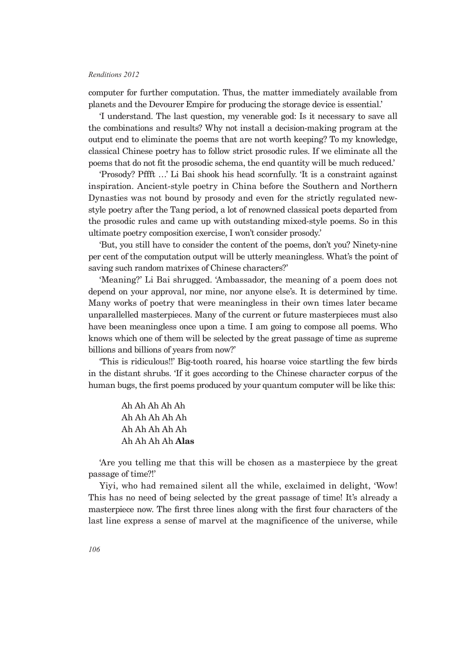computer for further computation. Thus, the matter immediately available from planets and the Devourer Empire for producing the storage device is essential.'

'I understand. The last question, my venerable god: Is it necessary to save all the combinations and results? Why not install a decision-making program at the output end to eliminate the poems that are not worth keeping? To my knowledge, classical Chinese poetry has to follow strict prosodic rules. If we eliminate all the poems that do not fit the prosodic schema, the end quantity will be much reduced.'

'Prosody? Pffft …' Li Bai shook his head scornfully. 'It is a constraint against inspiration. Ancient-style poetry in China before the Southern and Northern Dynasties was not bound by prosody and even for the strictly regulated newstyle poetry after the Tang period, a lot of renowned classical poets departed from the prosodic rules and came up with outstanding mixed-style poems. So in this ultimate poetry composition exercise, I won't consider prosody.'

'But, you still have to consider the content of the poems, don't you? Ninety-nine per cent of the computation output will be utterly meaningless. What's the point of saving such random matrixes of Chinese characters?'

'Meaning?' Li Bai shrugged. 'Ambassador, the meaning of a poem does not depend on your approval, nor mine, nor anyone else's. It is determined by time. Many works of poetry that were meaningless in their own times later became unparallelled masterpieces. Many of the current or future masterpieces must also have been meaningless once upon a time. I am going to compose all poems. Who knows which one of them will be selected by the great passage of time as supreme billions and billions of years from now?'

'This is ridiculous!!' Big-tooth roared, his hoarse voice startling the few birds in the distant shrubs. 'If it goes according to the Chinese character corpus of the human bugs, the first poems produced by your quantum computer will be like this:

> Ah Ah Ah Ah Ah Ah Ah Ah Ah Ah Ah Ah Ah Ah Ah Ah Ah Ah Ah **Alas**

'Are you telling me that this will be chosen as a masterpiece by the great passage of time?!'

Yiyi, who had remained silent all the while, exclaimed in delight, 'Wow! This has no need of being selected by the great passage of time! It's already a masterpiece now. The first three lines along with the first four characters of the last line express a sense of marvel at the magnificence of the universe, while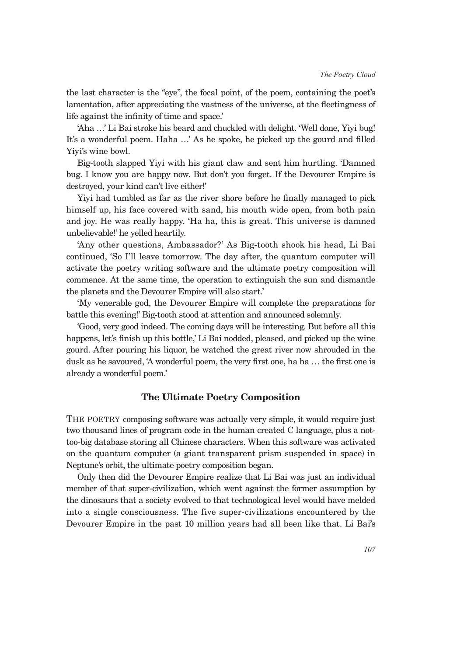the last character is the "eye", the focal point, of the poem, containing the poet's lamentation, after appreciating the vastness of the universe, at the fleetingness of life against the infinity of time and space.'

'Aha …' Li Bai stroke his beard and chuckled with delight. 'Well done, Yiyi bug! It's a wonderful poem. Haha …' As he spoke, he picked up the gourd and filled Yiyi's wine bowl.

Big-tooth slapped Yiyi with his giant claw and sent him hurtling. 'Damned bug. I know you are happy now. But don't you forget. If the Devourer Empire is destroyed, your kind can't live either!'

Yiyi had tumbled as far as the river shore before he finally managed to pick himself up, his face covered with sand, his mouth wide open, from both pain and joy. He was really happy. 'Ha ha, this is great. This universe is damned unbelievable!' he yelled heartily.

'Any other questions, Ambassador?' As Big-tooth shook his head, Li Bai continued, 'So I'll leave tomorrow. The day after, the quantum computer will activate the poetry writing software and the ultimate poetry composition will commence. At the same time, the operation to extinguish the sun and dismantle the planets and the Devourer Empire will also start.'

'My venerable god, the Devourer Empire will complete the preparations for battle this evening!' Big-tooth stood at attention and announced solemnly.

'Good, very good indeed. The coming days will be interesting. But before all this happens, let's finish up this bottle,' Li Bai nodded, pleased, and picked up the wine gourd. After pouring his liquor, he watched the great river now shrouded in the dusk as he savoured, 'A wonderful poem, the very first one, ha ha … the first one is already a wonderful poem.'

# **The Ultimate Poetry Composition**

THE POETRY composing software was actually very simple, it would require just two thousand lines of program code in the human created C language, plus a nottoo-big database storing all Chinese characters. When this software was activated on the quantum computer (a giant transparent prism suspended in space) in Neptune's orbit, the ultimate poetry composition began.

Only then did the Devourer Empire realize that Li Bai was just an individual member of that super-civilization, which went against the former assumption by the dinosaurs that a society evolved to that technological level would have melded into a single consciousness. The five super-civilizations encountered by the Devourer Empire in the past 10 million years had all been like that. Li Bai's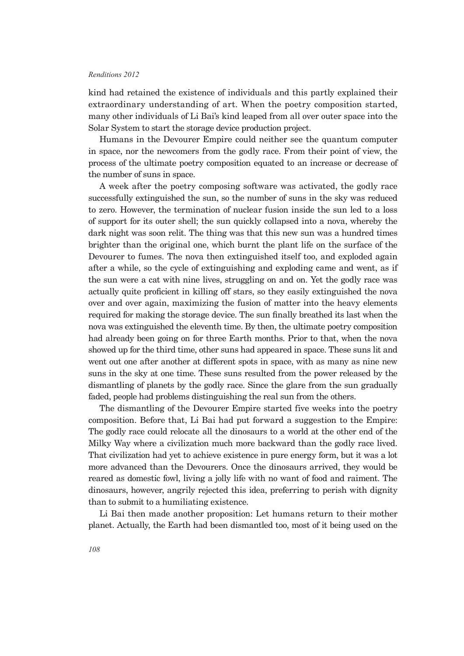kind had retained the existence of individuals and this partly explained their extraordinary understanding of art. When the poetry composition started, many other individuals of Li Bai's kind leaped from all over outer space into the Solar System to start the storage device production project.

Humans in the Devourer Empire could neither see the quantum computer in space, nor the newcomers from the godly race. From their point of view, the process of the ultimate poetry composition equated to an increase or decrease of the number of suns in space.

A week after the poetry composing software was activated, the godly race successfully extinguished the sun, so the number of suns in the sky was reduced to zero. However, the termination of nuclear fusion inside the sun led to a loss of support for its outer shell; the sun quickly collapsed into a nova, whereby the dark night was soon relit. The thing was that this new sun was a hundred times brighter than the original one, which burnt the plant life on the surface of the Devourer to fumes. The nova then extinguished itself too, and exploded again after a while, so the cycle of extinguishing and exploding came and went, as if the sun were a cat with nine lives, struggling on and on. Yet the godly race was actually quite proficient in killing off stars, so they easily extinguished the nova over and over again, maximizing the fusion of matter into the heavy elements required for making the storage device. The sun finally breathed its last when the nova was extinguished the eleventh time. By then, the ultimate poetry composition had already been going on for three Earth months. Prior to that, when the nova showed up for the third time, other suns had appeared in space. These suns lit and went out one after another at different spots in space, with as many as nine new suns in the sky at one time. These suns resulted from the power released by the dismantling of planets by the godly race. Since the glare from the sun gradually faded, people had problems distinguishing the real sun from the others.

The dismantling of the Devourer Empire started five weeks into the poetry composition. Before that, Li Bai had put forward a suggestion to the Empire: The godly race could relocate all the dinosaurs to a world at the other end of the Milky Way where a civilization much more backward than the godly race lived. That civilization had yet to achieve existence in pure energy form, but it was a lot more advanced than the Devourers. Once the dinosaurs arrived, they would be reared as domestic fowl, living a jolly life with no want of food and raiment. The dinosaurs, however, angrily rejected this idea, preferring to perish with dignity than to submit to a humiliating existence.

Li Bai then made another proposition: Let humans return to their mother planet. Actually, the Earth had been dismantled too, most of it being used on the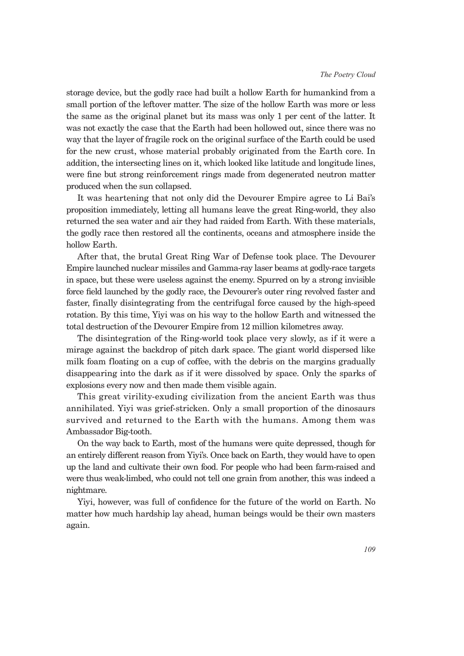storage device, but the godly race had built a hollow Earth for humankind from a small portion of the leftover matter. The size of the hollow Earth was more or less the same as the original planet but its mass was only 1 per cent of the latter. It was not exactly the case that the Earth had been hollowed out, since there was no way that the layer of fragile rock on the original surface of the Earth could be used for the new crust, whose material probably originated from the Earth core. In addition, the intersecting lines on it, which looked like latitude and longitude lines, were fine but strong reinforcement rings made from degenerated neutron matter produced when the sun collapsed.

It was heartening that not only did the Devourer Empire agree to Li Bai's proposition immediately, letting all humans leave the great Ring-world, they also returned the sea water and air they had raided from Earth. With these materials, the godly race then restored all the continents, oceans and atmosphere inside the hollow Earth.

After that, the brutal Great Ring War of Defense took place. The Devourer Empire launched nuclear missiles and Gamma-ray laser beams at godly-race targets in space, but these were useless against the enemy. Spurred on by a strong invisible force field launched by the godly race, the Devourer's outer ring revolved faster and faster, finally disintegrating from the centrifugal force caused by the high-speed rotation. By this time, Yiyi was on his way to the hollow Earth and witnessed the total destruction of the Devourer Empire from 12 million kilometres away.

The disintegration of the Ring-world took place very slowly, as if it were a mirage against the backdrop of pitch dark space. The giant world dispersed like milk foam floating on a cup of coffee, with the debris on the margins gradually disappearing into the dark as if it were dissolved by space. Only the sparks of explosions every now and then made them visible again.

This great virility-exuding civilization from the ancient Earth was thus annihilated. Yiyi was grief-stricken. Only a small proportion of the dinosaurs survived and returned to the Earth with the humans. Among them was Ambassador Big-tooth.

On the way back to Earth, most of the humans were quite depressed, though for an entirely different reason from Yiyi's. Once back on Earth, they would have to open up the land and cultivate their own food. For people who had been farm-raised and were thus weak-limbed, who could not tell one grain from another, this was indeed a nightmare.

Yiyi, however, was full of confidence for the future of the world on Earth. No matter how much hardship lay ahead, human beings would be their own masters again.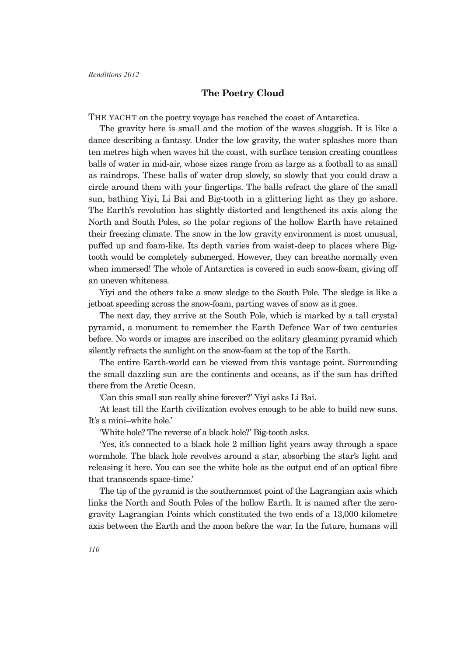# **The Poetry Cloud**

THE YACHT on the poetry voyage has reached the coast of Antarctica.

The gravity here is small and the motion of the waves sluggish. It is like a dance describing a fantasy. Under the low gravity, the water splashes more than ten metres high when waves hit the coast, with surface tension creating countless balls of water in mid-air, whose sizes range from as large as a football to as small as raindrops. These balls of water drop slowly, so slowly that you could draw a circle around them with your fingertips. The balls refract the glare of the small sun, bathing Yiyi, Li Bai and Big-tooth in a glittering light as they go ashore. The Earth's revolution has slightly distorted and lengthened its axis along the North and South Poles, so the polar regions of the hollow Earth have retained their freezing climate. The snow in the low gravity environment is most unusual, puffed up and foam-like. Its depth varies from waist-deep to places where Bigtooth would be completely submerged. However, they can breathe normally even when immersed! The whole of Antarctica is covered in such snow-foam, giving off an uneven whiteness.

Yiyi and the others take a snow sledge to the South Pole. The sledge is like a jetboat speeding across the snow-foam, parting waves of snow as it goes.

The next day, they arrive at the South Pole, which is marked by a tall crystal pyramid, a monument to remember the Earth Defence War of two centuries before. No words or images are inscribed on the solitary gleaming pyramid which silently refracts the sunlight on the snow-foam at the top of the Earth.

The entire Earth-world can be viewed from this vantage point. Surrounding the small dazzling sun are the continents and oceans, as if the sun has drifted there from the Arctic Ocean.

'Can this small sun really shine forever?' Yiyi asks Li Bai.

'At least till the Earth civilization evolves enough to be able to build new suns. It's a mini–white hole.'

'White hole? The reverse of a black hole?' Big-tooth asks.

'Yes, it's connected to a black hole 2 million light years away through a space wormhole. The black hole revolves around a star, absorbing the star's light and releasing it here. You can see the white hole as the output end of an optical fibre that transcends space-time.'

The tip of the pyramid is the southernmost point of the Lagrangian axis which links the North and South Poles of the hollow Earth. It is named after the zerogravity Lagrangian Points which constituted the two ends of a 13,000 kilometre axis between the Earth and the moon before the war. In the future, humans will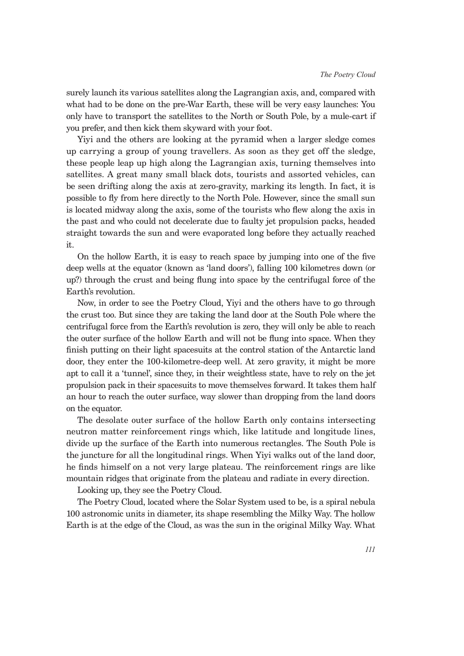surely launch its various satellites along the Lagrangian axis, and, compared with what had to be done on the pre-War Earth, these will be very easy launches: You only have to transport the satellites to the North or South Pole, by a mule-cart if you prefer, and then kick them skyward with your foot.

Yiyi and the others are looking at the pyramid when a larger sledge comes up carrying a group of young travellers. As soon as they get off the sledge, these people leap up high along the Lagrangian axis, turning themselves into satellites. A great many small black dots, tourists and assorted vehicles, can be seen drifting along the axis at zero-gravity, marking its length. In fact, it is possible to fly from here directly to the North Pole. However, since the small sun is located midway along the axis, some of the tourists who flew along the axis in the past and who could not decelerate due to faulty jet propulsion packs, headed straight towards the sun and were evaporated long before they actually reached it.

On the hollow Earth, it is easy to reach space by jumping into one of the five deep wells at the equator (known as 'land doors'), falling 100 kilometres down (or up?) through the crust and being flung into space by the centrifugal force of the Earth's revolution.

Now, in order to see the Poetry Cloud, Yiyi and the others have to go through the crust too. But since they are taking the land door at the South Pole where the centrifugal force from the Earth's revolution is zero, they will only be able to reach the outer surface of the hollow Earth and will not be flung into space. When they finish putting on their light spacesuits at the control station of the Antarctic land door, they enter the 100-kilometre-deep well. At zero gravity, it might be more apt to call it a 'tunnel', since they, in their weightless state, have to rely on the jet propulsion pack in their spacesuits to move themselves forward. It takes them half an hour to reach the outer surface, way slower than dropping from the land doors on the equator.

The desolate outer surface of the hollow Earth only contains intersecting neutron matter reinforcement rings which, like latitude and longitude lines, divide up the surface of the Earth into numerous rectangles. The South Pole is the juncture for all the longitudinal rings. When Yiyi walks out of the land door, he finds himself on a not very large plateau. The reinforcement rings are like mountain ridges that originate from the plateau and radiate in every direction.

Looking up, they see the Poetry Cloud.

The Poetry Cloud, located where the Solar System used to be, is a spiral nebula 100 astronomic units in diameter, its shape resembling the Milky Way. The hollow Earth is at the edge of the Cloud, as was the sun in the original Milky Way. What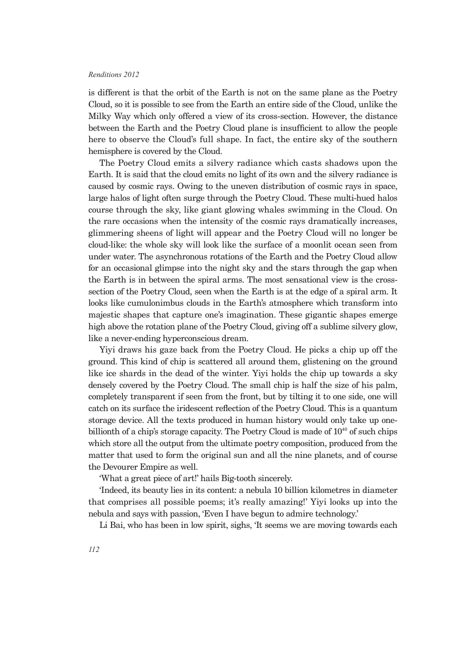is different is that the orbit of the Earth is not on the same plane as the Poetry Cloud, so it is possible to see from the Earth an entire side of the Cloud, unlike the Milky Way which only offered a view of its cross-section. However, the distance between the Earth and the Poetry Cloud plane is insufficient to allow the people here to observe the Cloud's full shape. In fact, the entire sky of the southern hemisphere is covered by the Cloud.

The Poetry Cloud emits a silvery radiance which casts shadows upon the Earth. It is said that the cloud emits no light of its own and the silvery radiance is caused by cosmic rays. Owing to the uneven distribution of cosmic rays in space, large halos of light often surge through the Poetry Cloud. These multi-hued halos course through the sky, like giant glowing whales swimming in the Cloud. On the rare occasions when the intensity of the cosmic rays dramatically increases, glimmering sheens of light will appear and the Poetry Cloud will no longer be cloud-like: the whole sky will look like the surface of a moonlit ocean seen from under water. The asynchronous rotations of the Earth and the Poetry Cloud allow for an occasional glimpse into the night sky and the stars through the gap when the Earth is in between the spiral arms. The most sensational view is the crosssection of the Poetry Cloud, seen when the Earth is at the edge of a spiral arm. It looks like cumulonimbus clouds in the Earth's atmosphere which transform into majestic shapes that capture one's imagination. These gigantic shapes emerge high above the rotation plane of the Poetry Cloud, giving off a sublime silvery glow, like a never-ending hyperconscious dream.

Yiyi draws his gaze back from the Poetry Cloud. He picks a chip up off the ground. This kind of chip is scattered all around them, glistening on the ground like ice shards in the dead of the winter. Yiyi holds the chip up towards a sky densely covered by the Poetry Cloud. The small chip is half the size of his palm, completely transparent if seen from the front, but by tilting it to one side, one will catch on its surface the iridescent reflection of the Poetry Cloud. This is a quantum storage device. All the texts produced in human history would only take up onebillionth of a chip's storage capacity. The Poetry Cloud is made of  $10^{40}$  of such chips which store all the output from the ultimate poetry composition, produced from the matter that used to form the original sun and all the nine planets, and of course the Devourer Empire as well.

'What a great piece of art!' hails Big-tooth sincerely.

'Indeed, its beauty lies in its content: a nebula 10 billion kilometres in diameter that comprises all possible poems; it's really amazing!' Yiyi looks up into the nebula and says with passion, 'Even I have begun to admire technology.'

Li Bai, who has been in low spirit, sighs, 'It seems we are moving towards each